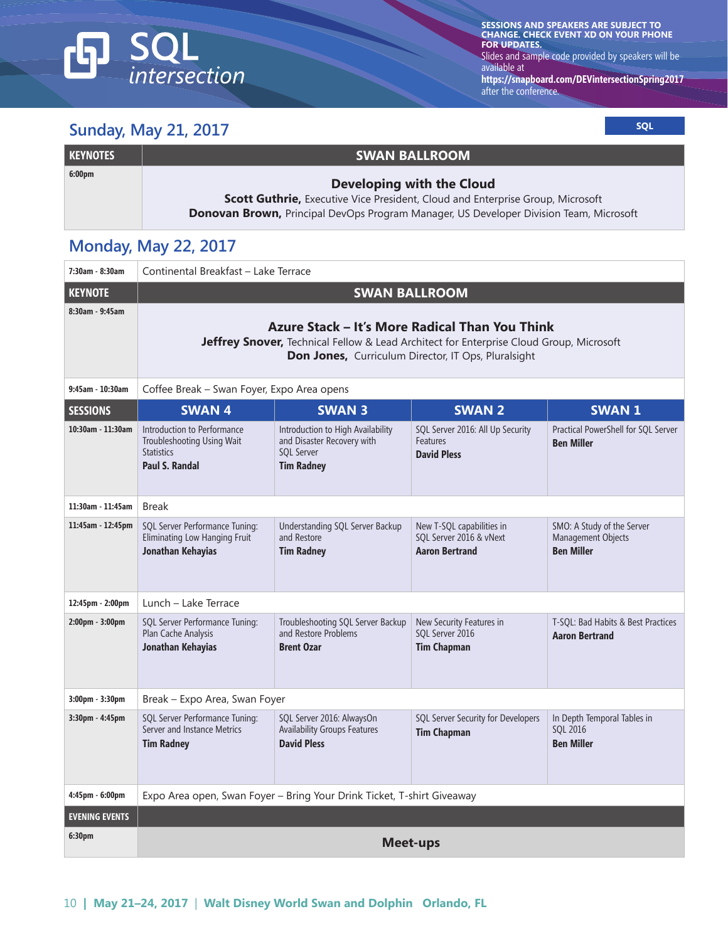# **SQL**<br>intersection டு

**SESSIONS AND SPEAKERS ARE SUBJECT TO CHANGE. CHECK EVENT XD ON YOUR PHONE FOR UPDATES.** 

Slides and sample code provided by speakers will be available at

**https://snapboard.com/DEVintersectionSpring2017** after the conference.

## **Sunday, May 21, 2017** Sunday, May 21, 2017

| <b>KEYNOTES</b>    | <b>SWAN BALLROOM</b>                                                                          |
|--------------------|-----------------------------------------------------------------------------------------------|
| 6:00 <sub>pm</sub> | Developing with the Cloud                                                                     |
|                    | <b>Scott Guthrie, Executive Vice President, Cloud and Enterprise Group, Microsoft</b>         |
|                    | <b>Donovan Brown, Principal DevOps Program Manager, US Developer Division Team, Microsoft</b> |

# **Monday, May 22, 2017**

| 7:30am - 8:30am       | Continental Breakfast - Lake Terrace                                                                                                                                                             |                                                                                                           |                                                                               |                                                                       |
|-----------------------|--------------------------------------------------------------------------------------------------------------------------------------------------------------------------------------------------|-----------------------------------------------------------------------------------------------------------|-------------------------------------------------------------------------------|-----------------------------------------------------------------------|
| <b>KEYNOTE</b>        |                                                                                                                                                                                                  | <b>SWAN BALLROOM</b>                                                                                      |                                                                               |                                                                       |
| 8:30am - 9:45am       | Azure Stack – It's More Radical Than You Think<br>Jeffrey Snover, Technical Fellow & Lead Architect for Enterprise Cloud Group, Microsoft<br>Don Jones, Curriculum Director, IT Ops, Pluralsight |                                                                                                           |                                                                               |                                                                       |
| 9:45am - 10:30am      | Coffee Break - Swan Foyer, Expo Area opens                                                                                                                                                       |                                                                                                           |                                                                               |                                                                       |
| <b>SESSIONS</b>       | <b>SWAN4</b>                                                                                                                                                                                     | <b>SWAN 3</b>                                                                                             | <b>SWAN 2</b>                                                                 | <b>SWAN1</b>                                                          |
| 10:30am - 11:30am     | Introduction to Performance<br>Troubleshooting Using Wait<br><b>Statistics</b><br><b>Paul S. Randal</b>                                                                                          | Introduction to High Availability<br>and Disaster Recovery with<br><b>SQL Server</b><br><b>Tim Radney</b> | SQL Server 2016: All Up Security<br>Features<br><b>David Pless</b>            | Practical PowerShell for SQL Server<br><b>Ben Miller</b>              |
| 11:30am - 11:45am     | <b>Break</b>                                                                                                                                                                                     |                                                                                                           |                                                                               |                                                                       |
| 11:45am - 12:45pm     | SQL Server Performance Tuning:<br>Eliminating Low Hanging Fruit<br>Jonathan Kehayias                                                                                                             | Understanding SQL Server Backup<br>and Restore<br><b>Tim Radney</b>                                       | New T-SQL capabilities in<br>SQL Server 2016 & vNext<br><b>Aaron Bertrand</b> | SMO: A Study of the Server<br>Management Objects<br><b>Ben Miller</b> |
| 12:45pm - 2:00pm      | Lunch - Lake Terrace                                                                                                                                                                             |                                                                                                           |                                                                               |                                                                       |
| 2:00pm - 3:00pm       | SQL Server Performance Tuning:<br>Plan Cache Analysis<br>Jonathan Kehayias                                                                                                                       | Troubleshooting SQL Server Backup<br>and Restore Problems<br><b>Brent Ozar</b>                            | New Security Features in<br>SQL Server 2016<br><b>Tim Chapman</b>             | T-SQL: Bad Habits & Best Practices<br><b>Aaron Bertrand</b>           |
| $3:00$ pm - $3:30$ pm | Break - Expo Area, Swan Foyer                                                                                                                                                                    |                                                                                                           |                                                                               |                                                                       |
| $3:30$ pm - $4:45$ pm | SQL Server Performance Tuning:<br>Server and Instance Metrics<br><b>Tim Radney</b>                                                                                                               | SQL Server 2016: AlwaysOn<br><b>Availability Groups Features</b><br><b>David Pless</b>                    | SQL Server Security for Developers<br><b>Tim Chapman</b>                      | In Depth Temporal Tables in<br>SOL 2016<br><b>Ben Miller</b>          |
| 4:45pm - 6:00pm       | Expo Area open, Swan Foyer - Bring Your Drink Ticket, T-shirt Giveaway                                                                                                                           |                                                                                                           |                                                                               |                                                                       |
| <b>EVENING EVENTS</b> |                                                                                                                                                                                                  |                                                                                                           |                                                                               |                                                                       |
| 6:30pm                | <b>Meet-ups</b>                                                                                                                                                                                  |                                                                                                           |                                                                               |                                                                       |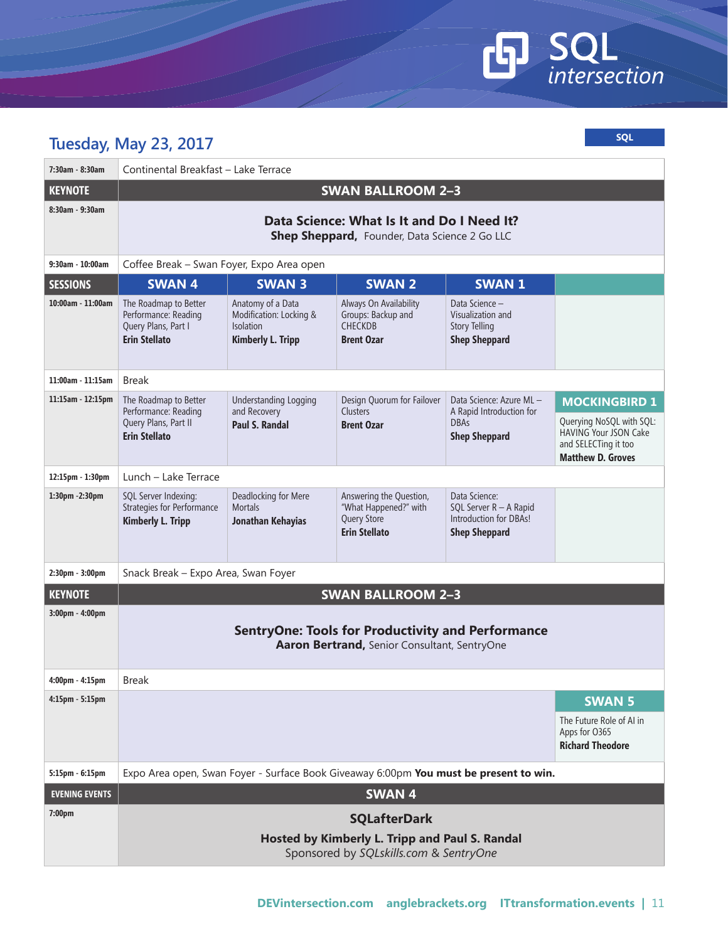# **GD** SQL

| <b>SQL</b><br><b>Tuesday, May 23, 2017</b> |                                                                                                          |                                                                                              |                                                                                         |                                                                                           |                                                                                                              |
|--------------------------------------------|----------------------------------------------------------------------------------------------------------|----------------------------------------------------------------------------------------------|-----------------------------------------------------------------------------------------|-------------------------------------------------------------------------------------------|--------------------------------------------------------------------------------------------------------------|
| 7:30am - 8:30am                            | Continental Breakfast - Lake Terrace                                                                     |                                                                                              |                                                                                         |                                                                                           |                                                                                                              |
| <b>KEYNOTE</b>                             |                                                                                                          |                                                                                              | <b>SWAN BALLROOM 2-3</b>                                                                |                                                                                           |                                                                                                              |
| 8:30am - 9:30am                            | Data Science: What Is It and Do I Need It?<br>Shep Sheppard, Founder, Data Science 2 Go LLC              |                                                                                              |                                                                                         |                                                                                           |                                                                                                              |
| 9:30am - 10:00am                           | Coffee Break - Swan Foyer, Expo Area open                                                                |                                                                                              |                                                                                         |                                                                                           |                                                                                                              |
| <b>SESSIONS</b>                            | <b>SWAN4</b>                                                                                             | <b>SWAN 3</b>                                                                                | <b>SWAN 2</b>                                                                           | <b>SWAN 1</b>                                                                             |                                                                                                              |
| $10:00am - 11:00am$                        | The Roadmap to Better<br>Performance: Reading<br>Query Plans, Part I<br><b>Erin Stellato</b>             | Anatomy of a Data<br>Modification: Locking &<br><b>Isolation</b><br><b>Kimberly L. Tripp</b> | Always On Availability<br>Groups: Backup and<br><b>CHECKDB</b><br><b>Brent Ozar</b>     | Data Science -<br>Visualization and<br><b>Story Telling</b><br><b>Shep Sheppard</b>       |                                                                                                              |
| 11:00am - 11:15am                          | <b>Break</b>                                                                                             |                                                                                              |                                                                                         |                                                                                           |                                                                                                              |
| 11:15am - 12:15pm                          | The Roadmap to Better<br>Performance: Reading                                                            | <b>Understanding Logging</b><br>and Recovery                                                 | Design Quorum for Failover<br><b>Clusters</b>                                           | Data Science: Azure ML -<br>A Rapid Introduction for                                      | <b>MOCKINGBIRD 1</b>                                                                                         |
|                                            | Query Plans, Part II<br><b>Erin Stellato</b>                                                             | Paul S. Randal                                                                               | <b>Brent Ozar</b>                                                                       | <b>DBAs</b><br><b>Shep Sheppard</b>                                                       | Querying NoSQL with SQL:<br><b>HAVING Your JSON Cake</b><br>and SELECTing it too<br><b>Matthew D. Groves</b> |
| 12:15pm - 1:30pm                           | Lunch – Lake Terrace                                                                                     |                                                                                              |                                                                                         |                                                                                           |                                                                                                              |
| 1:30pm - 2:30pm                            | SQL Server Indexing:<br><b>Strategies for Performance</b><br><b>Kimberly L. Tripp</b>                    | Deadlocking for Mere<br><b>Mortals</b><br>Jonathan Kehayias                                  | Answering the Question,<br>"What Happened?" with<br>Query Store<br><b>Erin Stellato</b> | Data Science:<br>SQL Server R - A Rapid<br>Introduction for DBAs!<br><b>Shep Sheppard</b> |                                                                                                              |
| 2:30pm - 3:00pm                            | Snack Break - Expo Area, Swan Foyer                                                                      |                                                                                              |                                                                                         |                                                                                           |                                                                                                              |
| <b>KEYNOTE</b>                             |                                                                                                          |                                                                                              | <b>SWAN BALLROOM 2-3</b>                                                                |                                                                                           |                                                                                                              |
| $3:00 \text{pm} - 4:00 \text{pm}$          | <b>SentryOne: Tools for Productivity and Performance</b><br>Aaron Bertrand, Senior Consultant, SentryOne |                                                                                              |                                                                                         |                                                                                           |                                                                                                              |
| $4:00 \text{pm} - 4:15 \text{pm}$          | <b>Break</b>                                                                                             |                                                                                              |                                                                                         |                                                                                           |                                                                                                              |
| $4:15$ pm - $5:15$ pm                      | <b>SWAN 5</b>                                                                                            |                                                                                              |                                                                                         |                                                                                           |                                                                                                              |
|                                            |                                                                                                          |                                                                                              |                                                                                         |                                                                                           | The Future Role of AI in<br>Apps for O365<br><b>Richard Theodore</b>                                         |
| 5:15pm - 6:15pm                            | Expo Area open, Swan Foyer - Surface Book Giveaway 6:00pm You must be present to win.                    |                                                                                              |                                                                                         |                                                                                           |                                                                                                              |
| <b>EVENING EVENTS</b>                      | <b>SWAN4</b>                                                                                             |                                                                                              |                                                                                         |                                                                                           |                                                                                                              |
| 7:00 <sub>pm</sub>                         | <b>SQLafterDark</b>                                                                                      |                                                                                              |                                                                                         |                                                                                           |                                                                                                              |
|                                            | Hosted by Kimberly L. Tripp and Paul S. Randal<br>Sponsored by SQLskills.com & SentryOne                 |                                                                                              |                                                                                         |                                                                                           |                                                                                                              |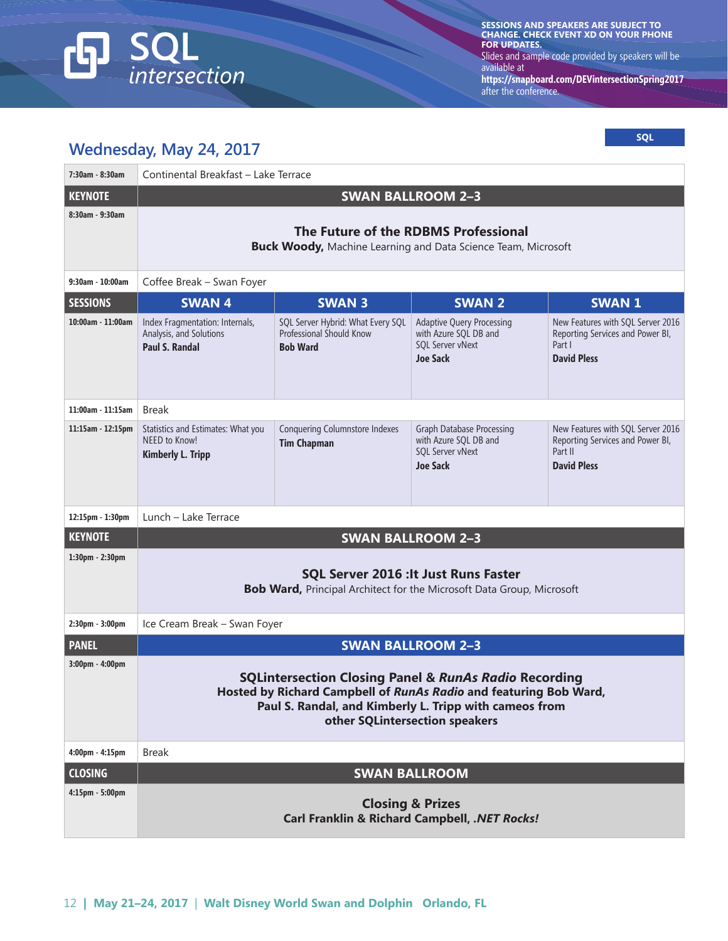

**SESSIONS AND SPEAKERS ARE SUBJECT TO CHANGE. CHECK EVENT XD ON YOUR PHONE FOR UPDATES.**  Slides and sample code provided by speakers will be available at

**https://snapboard.com/DEVintersectionSpring2017** after the conference.

#### **Wednesday, May 24, 2017**

**SQL**

| 7:30am - 8:30am                   | $\cdots$ $\cdots$<br>Continental Breakfast - Lake Terrace                                                                                                                                                                         |                                                                                         |                                                                                                  |                                                                                                        |
|-----------------------------------|-----------------------------------------------------------------------------------------------------------------------------------------------------------------------------------------------------------------------------------|-----------------------------------------------------------------------------------------|--------------------------------------------------------------------------------------------------|--------------------------------------------------------------------------------------------------------|
| <b>KEYNOTE</b>                    |                                                                                                                                                                                                                                   |                                                                                         |                                                                                                  |                                                                                                        |
| 8:30am - 9:30am                   | <b>SWAN BALLROOM 2-3</b><br>The Future of the RDBMS Professional<br><b>Buck Woody, Machine Learning and Data Science Team, Microsoft</b>                                                                                          |                                                                                         |                                                                                                  |                                                                                                        |
| 9:30am - 10:00am                  | Coffee Break - Swan Foyer                                                                                                                                                                                                         |                                                                                         |                                                                                                  |                                                                                                        |
| <b>SESSIONS</b>                   | <b>SWAN4</b>                                                                                                                                                                                                                      | <b>SWAN 3</b>                                                                           | <b>SWAN 2</b>                                                                                    | <b>SWAN1</b>                                                                                           |
| 10:00am - 11:00am                 | Index Fragmentation: Internals,<br>Analysis, and Solutions<br>Paul S. Randal                                                                                                                                                      | SQL Server Hybrid: What Every SQL<br><b>Professional Should Know</b><br><b>Bob Ward</b> | <b>Adaptive Query Processing</b><br>with Azure SQL DB and<br>SQL Server vNext<br><b>Joe Sack</b> | New Features with SQL Server 2016<br>Reporting Services and Power BI,<br>Part I<br><b>David Pless</b>  |
| $11:00$ am - $11:15$ am           | <b>Break</b>                                                                                                                                                                                                                      |                                                                                         |                                                                                                  |                                                                                                        |
| $11:15$ am - $12:15$ pm           | Statistics and Estimates: What you<br>NEED to Know!<br><b>Kimberly L. Tripp</b>                                                                                                                                                   | Conquering Columnstore Indexes<br><b>Tim Chapman</b>                                    | Graph Database Processing<br>with Azure SQL DB and<br>SQL Server vNext<br><b>Joe Sack</b>        | New Features with SQL Server 2016<br>Reporting Services and Power BI,<br>Part II<br><b>David Pless</b> |
| 12:15pm - 1:30pm                  | Lunch - Lake Terrace                                                                                                                                                                                                              |                                                                                         |                                                                                                  |                                                                                                        |
| <b>KEYNOTE</b>                    |                                                                                                                                                                                                                                   |                                                                                         | <b>SWAN BALLROOM 2-3</b>                                                                         |                                                                                                        |
| 1:30pm - 2:30pm                   | <b>SQL Server 2016 : It Just Runs Faster</b><br><b>Bob Ward, Principal Architect for the Microsoft Data Group, Microsoft</b>                                                                                                      |                                                                                         |                                                                                                  |                                                                                                        |
| 2:30pm - 3:00pm                   | Ice Cream Break - Swan Foyer                                                                                                                                                                                                      |                                                                                         |                                                                                                  |                                                                                                        |
| <b>PANEL</b>                      | <b>SWAN BALLROOM 2-3</b>                                                                                                                                                                                                          |                                                                                         |                                                                                                  |                                                                                                        |
| 3:00pm - 4:00pm                   | <b>SQLintersection Closing Panel &amp; RunAs Radio Recording</b><br>Hosted by Richard Campbell of RunAs Radio and featuring Bob Ward,<br>Paul S. Randal, and Kimberly L. Tripp with cameos from<br>other SQLintersection speakers |                                                                                         |                                                                                                  |                                                                                                        |
| $4:00 \text{pm} - 4:15 \text{pm}$ | <b>Break</b>                                                                                                                                                                                                                      |                                                                                         |                                                                                                  |                                                                                                        |
| <b>CLOSING</b>                    | <b>SWAN BALLROOM</b>                                                                                                                                                                                                              |                                                                                         |                                                                                                  |                                                                                                        |
| 4:15pm - 5:00pm                   | <b>Closing &amp; Prizes</b><br><b>Carl Franklin &amp; Richard Campbell, .NET Rocks!</b>                                                                                                                                           |                                                                                         |                                                                                                  |                                                                                                        |